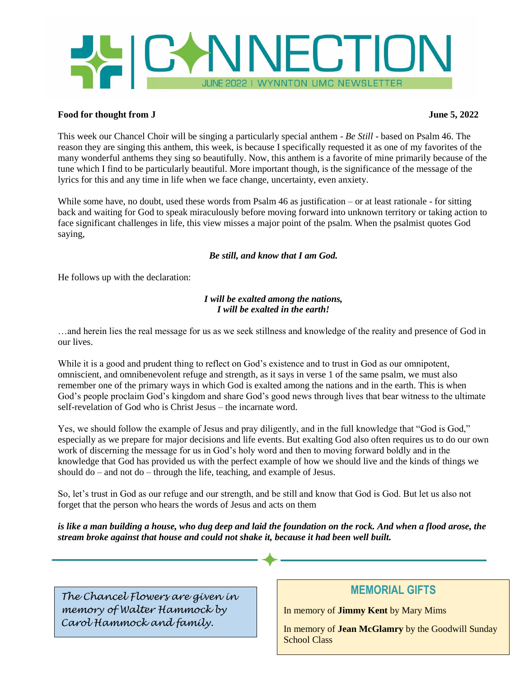

# **Food for thought from J June 5, 2022**

This week our Chancel Choir will be singing a particularly special anthem - *Be Still* - based on Psalm 46. The reason they are singing this anthem, this week, is because I specifically requested it as one of my favorites of the many wonderful anthems they sing so beautifully. Now, this anthem is a favorite of mine primarily because of the tune which I find to be particularly beautiful. More important though, is the significance of the message of the lyrics for this and any time in life when we face change, uncertainty, even anxiety.

While some have, no doubt, used these words from Psalm 46 as justification – or at least rationale - for sitting back and waiting for God to speak miraculously before moving forward into unknown territory or taking action to face significant challenges in life, this view misses a major point of the psalm. When the psalmist quotes God saying,

# *Be still, and know that I am God.*

He follows up with the declaration:

# *I will be exalted among the nations, I will be exalted in the earth!*

…and herein lies the real message for us as we seek stillness and knowledge of the reality and presence of God in our lives.

While it is a good and prudent thing to reflect on God's existence and to trust in God as our omnipotent, omniscient, and omnibenevolent refuge and strength, as it says in verse 1 of the same psalm, we must also remember one of the primary ways in which God is exalted among the nations and in the earth. This is when God's people proclaim God's kingdom and share God's good news through lives that bear witness to the ultimate self-revelation of God who is Christ Jesus – the incarnate word.

Yes, we should follow the example of Jesus and pray diligently, and in the full knowledge that "God is God," especially as we prepare for major decisions and life events. But exalting God also often requires us to do our own work of discerning the message for us in God's holy word and then to moving forward boldly and in the knowledge that God has provided us with the perfect example of how we should live and the kinds of things we should do – and not do – through the life, teaching, and example of Jesus.

So, let's trust in God as our refuge and our strength, and be still and know that God is God. But let us also not forget that the person who hears the words of Jesus and acts on them

*is like a man building a house, who dug deep and laid the foundation on the rock. And when a flood arose, the stream broke against that house and could not shake it, because it had been well built.*

*The Chancel Flowers are given in memory of Walter Hammock by Carol Hammock and family.*

# **MEMORIAL GIFTS**

In memory of **Jimmy Kent** by Mary Mims

In memory of **Jean McGlamry** by the Goodwill Sunday School Class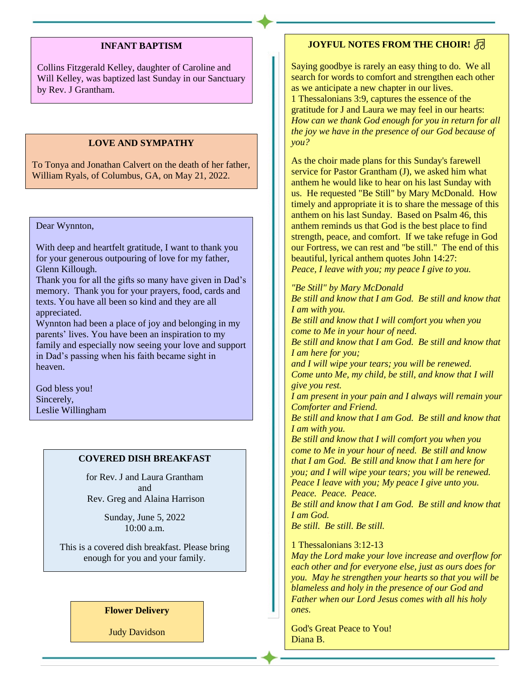#### **INFANT BAPTISM**

Collins Fitzgerald Kelley, daughter of Caroline and Will Kelley, was baptized last Sunday in our Sanctuary by Rev. J Grantham.

# **LOVE AND SYMPATHY**

To Tonya and Jonathan Calvert on the death of her father, William Ryals, of Columbus, GA, on May 21, 2022.

# Dear Wynnton,

With deep and heartfelt gratitude, I want to thank you for your generous outpouring of love for my father, Glenn Killough.

Thank you for all the gifts so many have given in Dad's memory. Thank you for your prayers, food, cards and texts. You have all been so kind and they are all appreciated.

Wynnton had been a place of joy and belonging in my parents' lives. You have been an inspiration to my family and especially now seeing your love and support in Dad's passing when his faith became sight in heaven.

God bless you! Sincerely, Leslie Willingham

### **COVERED DISH BREAKFAST**

for Rev. J and Laura Grantham and Rev. Greg and Alaina Harrison

> Sunday, June 5, 2022 10:00 a.m.

This is a covered dish breakfast. Please bring enough for you and your family.

### **Flower Delivery**

Judy Davidson

# **JOYFUL NOTES FROM THE CHOIR!**

Saying goodbye is rarely an easy thing to do. We all search for words to comfort and strengthen each other as we anticipate a new chapter in our lives.

1 Thessalonians 3:9, captures the essence of the gratitude for J and Laura we may feel in our hearts: *How can we thank God enough for you in return for all the joy we have in the presence of our God because of you?*

As the choir made plans for this Sunday's farewell service for Pastor Grantham (J), we asked him what anthem he would like to hear on his last Sunday with us. He requested "Be Still" by Mary McDonald. How timely and appropriate it is to share the message of this anthem on his last Sunday. Based on Psalm 46, this anthem reminds us that God is the best place to find strength, peace, and comfort. If we take refuge in God our Fortress, we can rest and "be still." The end of this beautiful, lyrical anthem quotes John 14:27: *Peace, I leave with you; my peace I give to you.* 

*"Be Still" by Mary McDonald Be still and know that I am God. Be still and know that I am with you. Be still and know that I will comfort you when you come to Me in your hour of need. Be still and know that I am God. Be still and know that I am here for you; and I will wipe your tears; you will be renewed. Come unto Me, my child, be still, and know that I will give you rest. I am present in your pain and I always will remain your Comforter and Friend. Be still and know that I am God. Be still and know that I am with you. Be still and know that I will comfort you when you come to Me in your hour of need. Be still and know that I am God. Be still and know that I am here for you; and I will wipe your tears; you will be renewed. Peace I leave with you; My peace I give unto you. Peace. Peace. Peace. Be still and know that I am God. Be still and know that I am God. Be still. Be still. Be still.* 1 Thessalonians 3:12-13

*May the Lord make your love increase and overflow for each other and for everyone else, just as ours does for you. May he strengthen your hearts so that you will be blameless and holy in the presence of our God and Father when our Lord Jesus comes with all his holy ones.*

God's Great Peace to You! Diana B.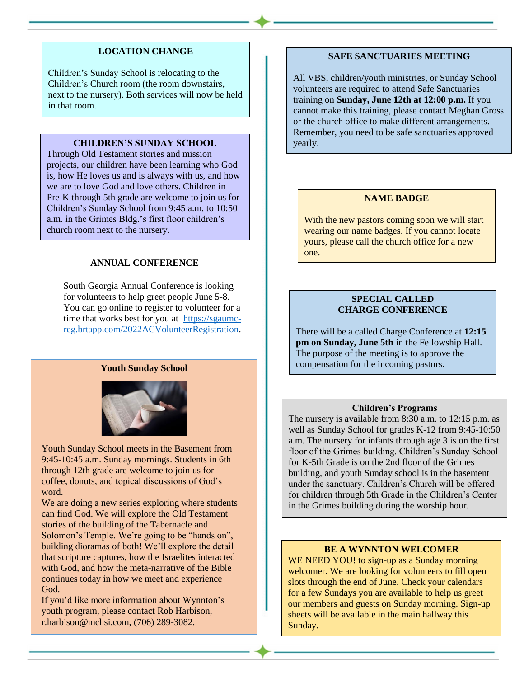# **LOCATION CHANGE**

Children's Sunday School is relocating to the Children's Church room (the room downstairs, next to the nursery). Both services will now be held in that room.

### **CHILDREN'S SUNDAY SCHOOL**

Through Old Testament stories and mission projects, our children have been learning who God is, how He loves us and is always with us, and how we are to love God and love others. Children in Pre-K through 5th grade are welcome to join us for Children's Sunday School from 9:45 a.m. to 10:50 a.m. in the Grimes Bldg.'s first floor children's church room next to the nursery.

# **ANNUAL CONFERENCE**

South Georgia Annual Conference is looking for volunteers to help greet people June 5-8. You can go online to register to volunteer for a time that works best for you at [https://sgaumc](https://sgaumc-reg.brtapp.com/2022ACVolunteerRegistration)[reg.brtapp.com/2022ACVolunteerRegistration.](https://sgaumc-reg.brtapp.com/2022ACVolunteerRegistration)

# **Youth Sunday School**



Youth Sunday School meets in the Basement from 9:45-10:45 a.m. Sunday mornings. Students in 6th through 12th grade are welcome to join us for coffee, donuts, and topical discussions of God's word.

We are doing a new series exploring where students can find God. We will explore the Old Testament stories of the building of the Tabernacle and Solomon's Temple. We're going to be "hands on", building dioramas of both! We'll explore the detail that scripture captures, how the Israelites interacted with God, and how the meta-narrative of the Bible continues today in how we meet and experience God.

If you'd like more information about Wynnton's youth program, please contact Rob Harbison, r.harbison@mchsi.com, (706) 289-3082.

### **SAFE SANCTUARIES MEETING**

All VBS, children/youth ministries, or Sunday School volunteers are required to attend Safe Sanctuaries training on **Sunday, June 12th at 12:00 p.m.** If you cannot make this training, please contact Meghan Gross or the church office to make different arrangements. Remember, you need to be safe sanctuaries approved yearly.

# **NAME BADGE**

With the new pastors coming soon we will start wearing our name badges. If you cannot locate yours, please call the church office for a new one.

# **SPECIAL CALLED CHARGE CONFERENCE**

There will be a called Charge Conference at **12:15 pm on Sunday, June 5th** in the Fellowship Hall. The purpose of the meeting is to approve the compensation for the incoming pastors.

#### **Children's Programs**

The nursery is available from 8:30 a.m. to 12:15 p.m. as well as Sunday School for grades K-12 from 9:45-10:50 a.m. The nursery for infants through age 3 is on the first floor of the Grimes building. Children's Sunday School for K-5th Grade is on the 2nd floor of the Grimes building, and youth Sunday school is in the basement under the sanctuary. Children's Church will be offered for children through 5th Grade in the Children's Center in the Grimes building during the worship hour.

#### **BE A WYNNTON WELCOMER**

WE NEED YOU! to sign-up as a Sunday morning welcomer. We are looking for volunteers to fill open slots through the end of June. Check your calendars for a few Sundays you are available to help us greet our members and guests on Sunday morning. Sign-up sheets will be available in the main hallway this Sunday.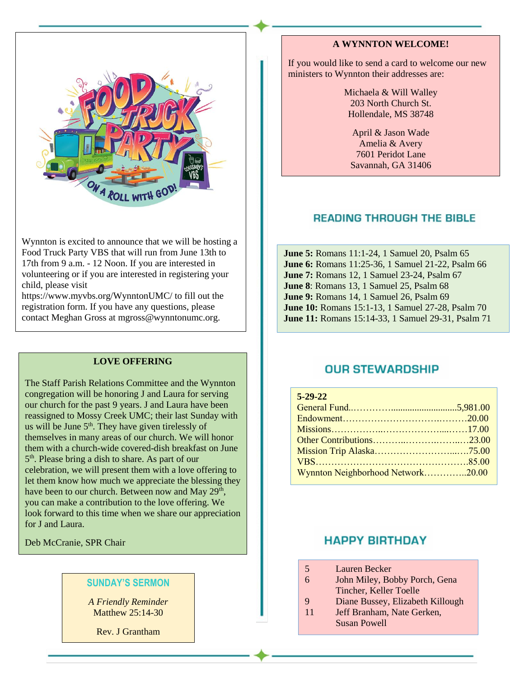

Wynnton is excited to announce that we will be hosting a Food Truck Party VBS that will run from June 13th to 17th from 9 a.m. - 12 Noon. If you are interested in volunteering or if you are interested in registering your child, please visit

https://www.myvbs.org/WynntonUMC/ to fill out the registration form. If you have any questions, please contact Meghan Gross at mgross@wynntonumc.org.

### **LOVE OFFERING**

The Staff Parish Relations Committee and the Wynnton congregation will be honoring J and Laura for serving our church for the past 9 years. J and Laura have been reassigned to Mossy Creek UMC; their last Sunday with us will be June  $5<sup>th</sup>$ . They have given tirelessly of themselves in many areas of our church. We will honor them with a church-wide covered-dish breakfast on June 5<sup>th</sup>. Please bring a dish to share. As part of our celebration, we will present them with a love offering to let them know how much we appreciate the blessing they have been to our church. Between now and May  $29<sup>th</sup>$ , you can make a contribution to the love offering. We look forward to this time when we share our appreciation for J and Laura.

Deb McCranie, SPR Chair

# **SUNDAY'S SERMON**

*A Friendly Reminder* Matthew 25:14-30

Rev. J Grantham

# **A WYNNTON WELCOME!**

If you would like to send a card to welcome our new ministers to Wynnton their addresses are:

> Michaela & Will Walley 203 North Church St. Hollendale, MS 38748

April & Jason Wade Amelia & Avery 7601 Peridot Lane Savannah, GA 31406

# **READING THROUGH THE BIBLE**

**June 5:** Romans 11:1-24, 1 Samuel 20, Psalm 65 **June 6:** Romans 11:25-36, 1 Samuel 21-22, Psalm 66 **June 7:** Romans 12, 1 Samuel 23-24, Psalm 67 **June 8**: Romans 13, 1 Samuel 25, Psalm 68 **June 9:** Romans 14, 1 Samuel 26, Psalm 69 **June 10:** Romans 15:1-13, 1 Samuel 27-28, Psalm 70 **June 11:** Romans 15:14-33, 1 Samuel 29-31, Psalm 71

# **OUR STEWARDSHIP**

| $5 - 29 - 22$                     |  |
|-----------------------------------|--|
|                                   |  |
|                                   |  |
|                                   |  |
|                                   |  |
|                                   |  |
|                                   |  |
| Wynnton Neighborhood Network20.00 |  |

# **HAPPY BIRTHDAY**

- 5 Lauren Becker
- 6 John Miley, Bobby Porch, Gena Tincher, Keller Toelle
- 9 Diane Bussey, Elizabeth Killough
- 11 Jeff Branham, Nate Gerken, Susan Powell